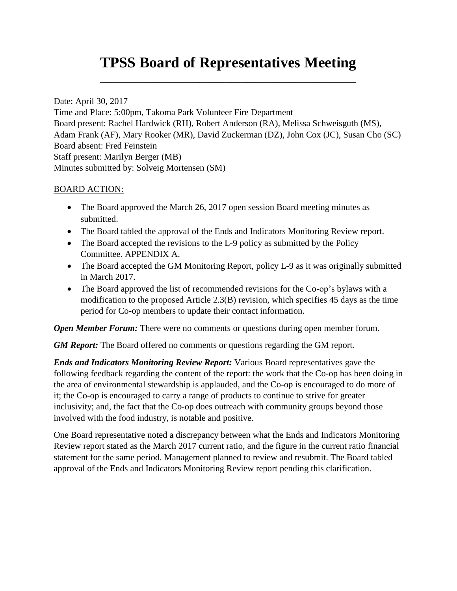# **TPSS Board of Representatives Meeting**

\_\_\_\_\_\_\_\_\_\_\_\_\_\_\_\_\_\_\_\_\_\_\_\_\_\_\_\_\_\_\_\_\_\_\_\_\_\_\_\_\_\_\_\_\_\_\_\_\_

Date: April 30, 2017 Time and Place: 5:00pm, Takoma Park Volunteer Fire Department Board present: Rachel Hardwick (RH), Robert Anderson (RA), Melissa Schweisguth (MS), Adam Frank (AF), Mary Rooker (MR), David Zuckerman (DZ), John Cox (JC), Susan Cho (SC) Board absent: Fred Feinstein Staff present: Marilyn Berger (MB) Minutes submitted by: Solveig Mortensen (SM)

# BOARD ACTION:

- The Board approved the March 26, 2017 open session Board meeting minutes as submitted.
- The Board tabled the approval of the Ends and Indicators Monitoring Review report.
- The Board accepted the revisions to the L-9 policy as submitted by the Policy Committee. APPENDIX A.
- The Board accepted the GM Monitoring Report, policy L-9 as it was originally submitted in March 2017.
- The Board approved the list of recommended revisions for the Co-op's bylaws with a modification to the proposed Article 2.3(B) revision, which specifies 45 days as the time period for Co-op members to update their contact information.

*Open Member Forum:* There were no comments or questions during open member forum.

*GM Report:* The Board offered no comments or questions regarding the GM report.

*Ends and Indicators Monitoring Review Report:* Various Board representatives gave the following feedback regarding the content of the report: the work that the Co-op has been doing in the area of environmental stewardship is applauded, and the Co-op is encouraged to do more of it; the Co-op is encouraged to carry a range of products to continue to strive for greater inclusivity; and, the fact that the Co-op does outreach with community groups beyond those involved with the food industry, is notable and positive.

One Board representative noted a discrepancy between what the Ends and Indicators Monitoring Review report stated as the March 2017 current ratio, and the figure in the current ratio financial statement for the same period. Management planned to review and resubmit. The Board tabled approval of the Ends and Indicators Monitoring Review report pending this clarification.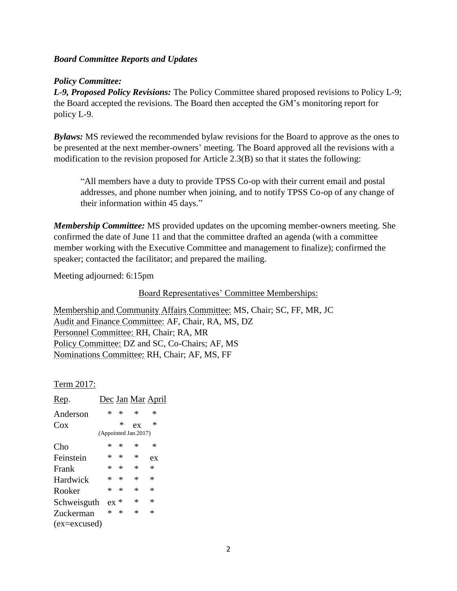### *Board Committee Reports and Updates*

### *Policy Committee:*

*L-9, Proposed Policy Revisions:* The Policy Committee shared proposed revisions to Policy L-9; the Board accepted the revisions. The Board then accepted the GM's monitoring report for policy L-9.

*Bylaws:* MS reviewed the recommended bylaw revisions for the Board to approve as the ones to be presented at the next member-owners' meeting. The Board approved all the revisions with a modification to the revision proposed for Article 2.3(B) so that it states the following:

"All members have a duty to provide TPSS Co-op with their current email and postal addresses, and phone number when joining, and to notify TPSS Co-op of any change of their information within 45 days."

*Membership Committee:* MS provided updates on the upcoming member-owners meeting. She confirmed the date of June 11 and that the committee drafted an agenda (with a committee member working with the Executive Committee and management to finalize); confirmed the speaker; contacted the facilitator; and prepared the mailing.

Meeting adjourned: 6:15pm

Board Representatives' Committee Memberships:

Membership and Community Affairs Committee: MS, Chair; SC, FF, MR, JC Audit and Finance Committee: AF, Chair, RA, MS, DZ Personnel Committee: RH, Chair; RA, MR Policy Committee: DZ and SC, Co-Chairs; AF, MS Nominations Committee: RH, Chair; AF, MS, FF

Term 2017:

| Rep.         |        |        |                      | <u>Dec Jan Mar April</u> |
|--------------|--------|--------|----------------------|--------------------------|
| Anderson     | * .    | $\ast$ | ∗                    | ∗                        |
| Cox          |        | $\ast$ | ex                   | ∗                        |
|              |        |        | (Appointed Jan.2017) |                          |
| Cho          | *      | $\ast$ | ∗                    | ∗                        |
| Feinstein    | $\ast$ | ∗      | ∗                    | ex                       |
| Frank        | * .    | ∗      | ∗                    | *                        |
| Hardwick     | * .    | ∗      | ∗                    | ∗                        |
| Rooker       | ∗      | $\ast$ | $\ast$               | ∗                        |
| Schweisguth  | $ex *$ |        | ∗                    | ∗                        |
| Zuckerman    | $\ast$ | ∗      | ∗                    | *                        |
| (ex=excused) |        |        |                      |                          |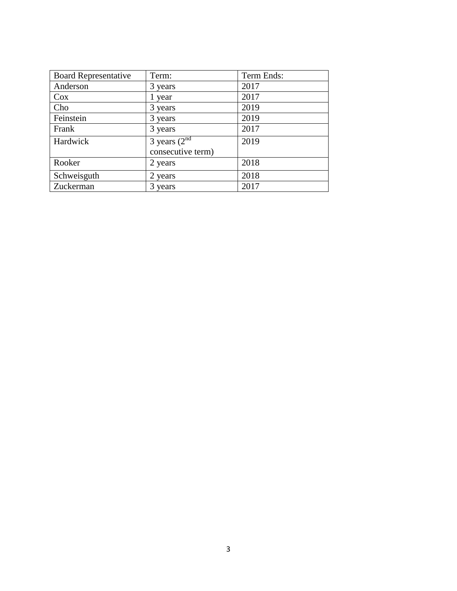| <b>Board Representative</b> | Term:                                             | Term Ends: |
|-----------------------------|---------------------------------------------------|------------|
| Anderson                    | 3 years                                           | 2017       |
| $\cos$                      | 1 year                                            | 2017       |
| Cho                         | 3 years                                           | 2019       |
| Feinstein                   | 3 years                                           | 2019       |
| Frank                       | 3 years                                           | 2017       |
| Hardwick                    | 3 years $(2^{\overline{n}d}$<br>consecutive term) | 2019       |
| Rooker                      | 2 years                                           | 2018       |
| Schweisguth                 | 2 years                                           | 2018       |
| Zuckerman                   | 3 years                                           | 2017       |